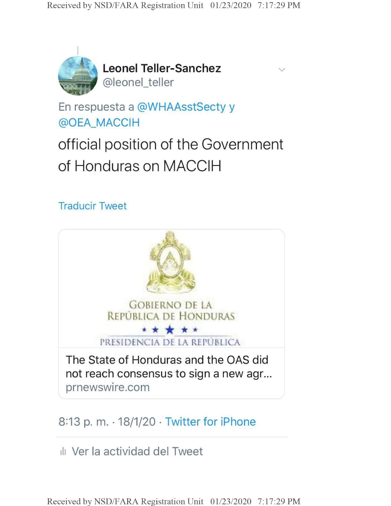

**Leonel Teller-Sanchez** @leonel\_teller

En respuesta a @WHAAsstSecty y @OEA\_MACCIH

official position of the Government of Honduras on MACCIH

## Traducir Tweet



## 8:13 p. m.  $\cdot$  18/1/20  $\cdot$  Twitter for iPhone

ill Ver la actividad del Tweet

**Received by NSD/FARA Registration Unit 01/23/2020 7:17:29 PM**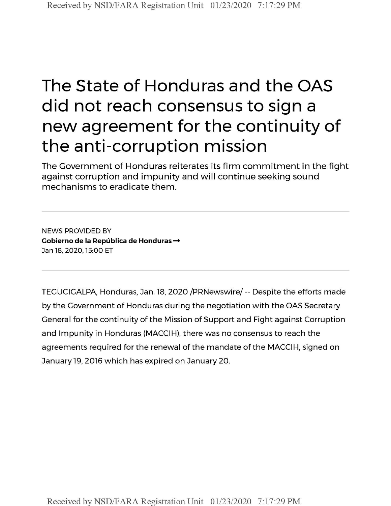# The State of Honduras and the OAS did not reach consensus to sign a new agreement for the continuity of the anti-corruption mission

The Government of Honduras reiterates its firm commitment in the fight against corruption and impunity and will continue seeking sound mechanisms to eradicate them.

NEWS PROVIDED BY **Cobierno de la Republica de Honduras —** Jan 18, 2020,15:00 ET

TEGUCIGALPA, Honduras, Jan. 18, 2020 /PRNewswire/ -- Despite the efforts made by the Government of Honduras during the negotiation with the OAS Secretary General for the continuity of the Mission of Support and Fight against Corruption and Impunity in Honduras (MACCIH), there was no consensus to reach the agreements required for the renewal of the mandate of the MACCIH, signed on January 19, 2016 which has expired on January 20.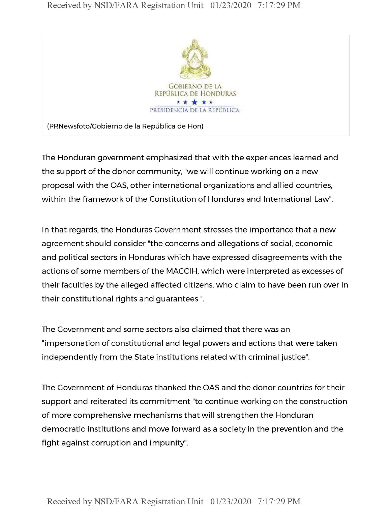#### **Received by NSD/FARA Registration Unit 01/23/2020 7:17:29 PM**



The Honduran government emphasized that with the experiences learned and the support of the donor community, "we will continue working on a new proposal with the OAS, other international organizations and allied countries, within the framework of the Constitution of Honduras and International Law".

In that regards, the Honduras Government stresses the importance that a new agreement should consider "the concerns and allegations of social, economic and political sectors in Honduras which have expressed disagreements with the actions of some members of the MACCIH, which were interpreted as excesses of their faculties by the alleged affected citizens, who claim to have been run over in their constitutional rights and guarantees ".

The Government and some sectors also claimed that there was an "impersonation of constitutional and legal powers and actions that were taken independently from the State institutions related with criminal justice".

The Government of Honduras thanked the OAS and the donor countries for their support and reiterated its commitment "to continue working on the construction of more comprehensive mechanisms that will strengthen the Honduran democratic institutions and move forward as a society in the prevention and the fight against corruption and impunity".